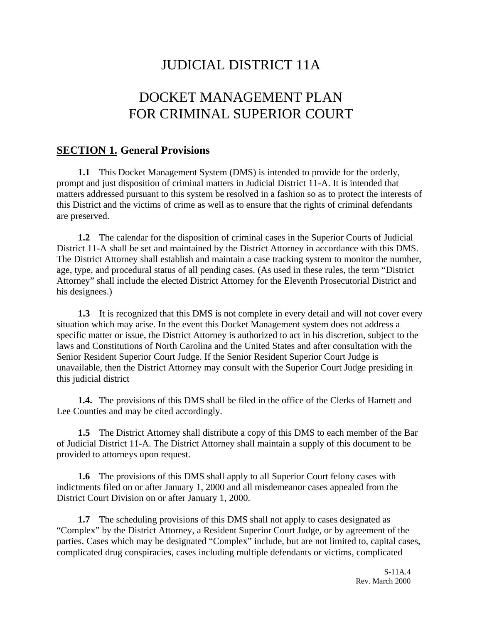# JUDICIAL DISTRICT 11A

# DOCKET MANAGEMENT PLAN FOR CRIMINAL SUPERIOR COURT

#### **SECTION 1. General Provisions**

**1.1** This Docket Management System (DMS) is intended to provide for the orderly, prompt and just disposition of criminal matters in Judicial District 11-A. It is intended that matters addressed pursuant to this system be resolved in a fashion so as to protect the interests of this District and the victims of crime as well as to ensure that the rights of criminal defendants are preserved.

**1.2** The calendar for the disposition of criminal cases in the Superior Courts of Judicial District 11-A shall be set and maintained by the District Attorney in accordance with this DMS. The District Attorney shall establish and maintain a case tracking system to monitor the number, age, type, and procedural status of all pending cases. (As used in these rules, the term "District Attorney" shall include the elected District Attorney for the Eleventh Prosecutorial District and his designees.)

**1.3** It is recognized that this DMS is not complete in every detail and will not cover every situation which may arise. In the event this Docket Management system does not address a specific matter or issue, the District Attorney is authorized to act in his discretion, subject to the laws and Constitutions of North Carolina and the United States and after consultation with the Senior Resident Superior Court Judge. If the Senior Resident Superior Court Judge is unavailable, then the District Attorney may consult with the Superior Court Judge presiding in this judicial district

**1.4.** The provisions of this DMS shall be filed in the office of the Clerks of Harnett and Lee Counties and may be cited accordingly.

**1.5** The District Attorney shall distribute a copy of this DMS to each member of the Bar of Judicial District 11-A. The District Attorney shall maintain a supply of this document to be provided to attorneys upon request.

**1.6** The provisions of this DMS shall apply to all Superior Court felony cases with indictments filed on or after January 1, 2000 and all misdemeanor cases appealed from the District Court Division on or after January 1, 2000.

**1.7** The scheduling provisions of this DMS shall not apply to cases designated as "Complex" by the District Attorney, a Resident Superior Court Judge, or by agreement of the parties. Cases which may be designated "Complex" include, but are not limited to, capital cases, complicated drug conspiracies, cases including multiple defendants or victims, complicated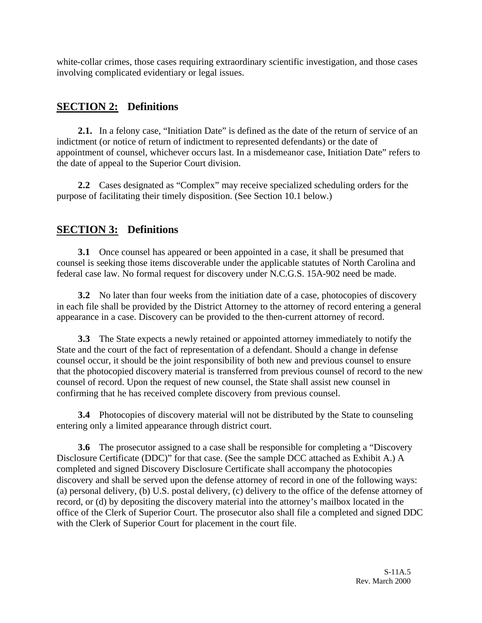white-collar crimes, those cases requiring extraordinary scientific investigation, and those cases involving complicated evidentiary or legal issues.

## **SECTION 2: Definitions**

**2.1.** In a felony case, "Initiation Date" is defined as the date of the return of service of an indictment (or notice of return of indictment to represented defendants) or the date of appointment of counsel, whichever occurs last. In a misdemeanor case, Initiation Date" refers to the date of appeal to the Superior Court division.

**2.2** Cases designated as "Complex" may receive specialized scheduling orders for the purpose of facilitating their timely disposition. (See Section 10.1 below.)

#### **SECTION 3: Definitions**

**3.1** Once counsel has appeared or been appointed in a case, it shall be presumed that counsel is seeking those items discoverable under the applicable statutes of North Carolina and federal case law. No formal request for discovery under N.C.G.S. 15A-902 need be made.

**3.2** No later than four weeks from the initiation date of a case, photocopies of discovery in each file shall be provided by the District Attorney to the attorney of record entering a general appearance in a case. Discovery can be provided to the then-current attorney of record.

**3.3** The State expects a newly retained or appointed attorney immediately to notify the State and the court of the fact of representation of a defendant. Should a change in defense counsel occur, it should be the joint responsibility of both new and previous counsel to ensure that the photocopied discovery material is transferred from previous counsel of record to the new counsel of record. Upon the request of new counsel, the State shall assist new counsel in confirming that he has received complete discovery from previous counsel.

**3.4** Photocopies of discovery material will not be distributed by the State to counseling entering only a limited appearance through district court.

**3.6** The prosecutor assigned to a case shall be responsible for completing a "Discovery" Disclosure Certificate (DDC)" for that case. (See the sample DCC attached as Exhibit A.) A completed and signed Discovery Disclosure Certificate shall accompany the photocopies discovery and shall be served upon the defense attorney of record in one of the following ways: (a) personal delivery, (b) U.S. postal delivery, (c) delivery to the office of the defense attorney of record, or (d) by depositing the discovery material into the attorney's mailbox located in the office of the Clerk of Superior Court. The prosecutor also shall file a completed and signed DDC with the Clerk of Superior Court for placement in the court file.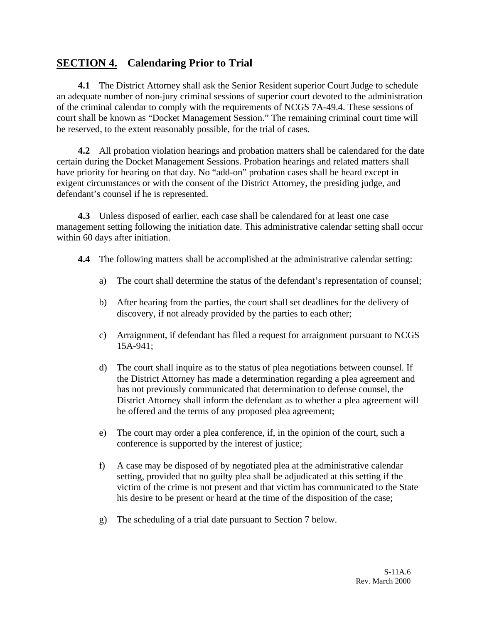#### **SECTION 4. Calendaring Prior to Trial**

**4.1** The District Attorney shall ask the Senior Resident superior Court Judge to schedule an adequate number of non-jury criminal sessions of superior court devoted to the administration of the criminal calendar to comply with the requirements of NCGS 7A-49.4. These sessions of court shall be known as "Docket Management Session." The remaining criminal court time will be reserved, to the extent reasonably possible, for the trial of cases.

**4.2** All probation violation hearings and probation matters shall be calendared for the date certain during the Docket Management Sessions. Probation hearings and related matters shall have priority for hearing on that day. No "add-on" probation cases shall be heard except in exigent circumstances or with the consent of the District Attorney, the presiding judge, and defendant's counsel if he is represented.

**4.3** Unless disposed of earlier, each case shall be calendared for at least one case management setting following the initiation date. This administrative calendar setting shall occur within 60 days after initiation.

- **4.4** The following matters shall be accomplished at the administrative calendar setting:
	- a) The court shall determine the status of the defendant's representation of counsel;
	- b) After hearing from the parties, the court shall set deadlines for the delivery of discovery, if not already provided by the parties to each other;
	- c) Arraignment, if defendant has filed a request for arraignment pursuant to NCGS 15A-941;
	- d) The court shall inquire as to the status of plea negotiations between counsel. If the District Attorney has made a determination regarding a plea agreement and has not previously communicated that determination to defense counsel, the District Attorney shall inform the defendant as to whether a plea agreement will be offered and the terms of any proposed plea agreement;
	- e) The court may order a plea conference, if, in the opinion of the court, such a conference is supported by the interest of justice;
	- f) A case may be disposed of by negotiated plea at the administrative calendar setting, provided that no guilty plea shall be adjudicated at this setting if the victim of the crime is not present and that victim has communicated to the State his desire to be present or heard at the time of the disposition of the case;
	- g) The scheduling of a trial date pursuant to Section 7 below.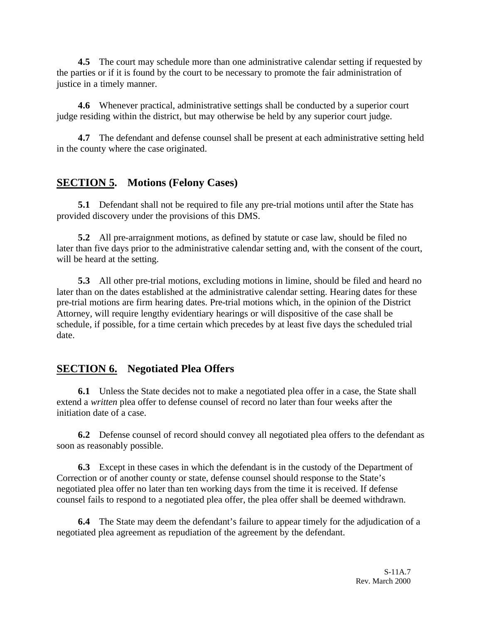**4.5** The court may schedule more than one administrative calendar setting if requested by the parties or if it is found by the court to be necessary to promote the fair administration of justice in a timely manner.

**4.6** Whenever practical, administrative settings shall be conducted by a superior court judge residing within the district, but may otherwise be held by any superior court judge.

**4.7** The defendant and defense counsel shall be present at each administrative setting held in the county where the case originated.

## **SECTION 5. Motions (Felony Cases)**

**5.1** Defendant shall not be required to file any pre-trial motions until after the State has provided discovery under the provisions of this DMS.

**5.2** All pre-arraignment motions, as defined by statute or case law, should be filed no later than five days prior to the administrative calendar setting and, with the consent of the court, will be heard at the setting.

**5.3** All other pre-trial motions, excluding motions in limine, should be filed and heard no later than on the dates established at the administrative calendar setting. Hearing dates for these pre-trial motions are firm hearing dates. Pre-trial motions which, in the opinion of the District Attorney, will require lengthy evidentiary hearings or will dispositive of the case shall be schedule, if possible, for a time certain which precedes by at least five days the scheduled trial date.

## **SECTION 6. Negotiated Plea Offers**

**6.1** Unless the State decides not to make a negotiated plea offer in a case, the State shall extend a *written* plea offer to defense counsel of record no later than four weeks after the initiation date of a case.

**6.2** Defense counsel of record should convey all negotiated plea offers to the defendant as soon as reasonably possible.

**6.3** Except in these cases in which the defendant is in the custody of the Department of Correction or of another county or state, defense counsel should response to the State's negotiated plea offer no later than ten working days from the time it is received. If defense counsel fails to respond to a negotiated plea offer, the plea offer shall be deemed withdrawn.

**6.4** The State may deem the defendant's failure to appear timely for the adjudication of a negotiated plea agreement as repudiation of the agreement by the defendant.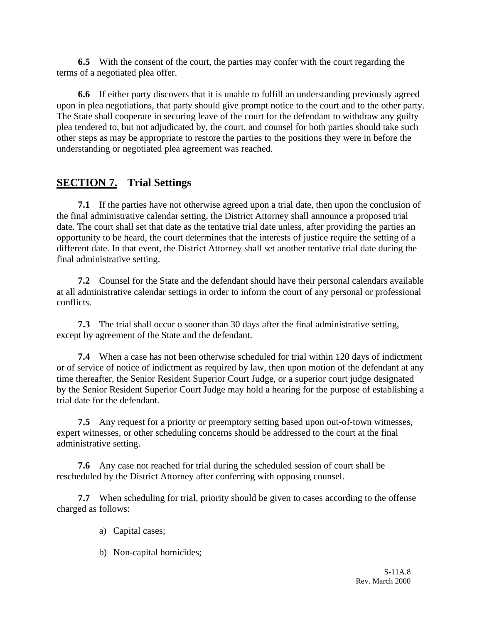**6.5** With the consent of the court, the parties may confer with the court regarding the terms of a negotiated plea offer.

**6.6** If either party discovers that it is unable to fulfill an understanding previously agreed upon in plea negotiations, that party should give prompt notice to the court and to the other party. The State shall cooperate in securing leave of the court for the defendant to withdraw any guilty plea tendered to, but not adjudicated by, the court, and counsel for both parties should take such other steps as may be appropriate to restore the parties to the positions they were in before the understanding or negotiated plea agreement was reached.

# **SECTION 7. Trial Settings**

**7.1** If the parties have not otherwise agreed upon a trial date, then upon the conclusion of the final administrative calendar setting, the District Attorney shall announce a proposed trial date. The court shall set that date as the tentative trial date unless, after providing the parties an opportunity to be heard, the court determines that the interests of justice require the setting of a different date. In that event, the District Attorney shall set another tentative trial date during the final administrative setting.

**7.2** Counsel for the State and the defendant should have their personal calendars available at all administrative calendar settings in order to inform the court of any personal or professional conflicts.

**7.3** The trial shall occur o sooner than 30 days after the final administrative setting, except by agreement of the State and the defendant.

**7.4** When a case has not been otherwise scheduled for trial within 120 days of indictment or of service of notice of indictment as required by law, then upon motion of the defendant at any time thereafter, the Senior Resident Superior Court Judge, or a superior court judge designated by the Senior Resident Superior Court Judge may hold a hearing for the purpose of establishing a trial date for the defendant.

**7.5** Any request for a priority or preemptory setting based upon out-of-town witnesses, expert witnesses, or other scheduling concerns should be addressed to the court at the final administrative setting.

**7.6** Any case not reached for trial during the scheduled session of court shall be rescheduled by the District Attorney after conferring with opposing counsel.

**7.7** When scheduling for trial, priority should be given to cases according to the offense charged as follows:

- a) Capital cases;
- b) Non-capital homicides;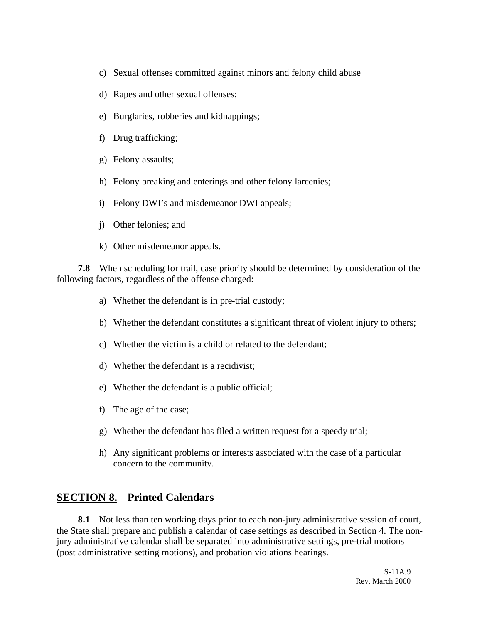- c) Sexual offenses committed against minors and felony child abuse
- d) Rapes and other sexual offenses;
- e) Burglaries, robberies and kidnappings;
- f) Drug trafficking;
- g) Felony assaults;
- h) Felony breaking and enterings and other felony larcenies;
- i) Felony DWI's and misdemeanor DWI appeals;
- j) Other felonies; and
- k) Other misdemeanor appeals.

**7.8** When scheduling for trail, case priority should be determined by consideration of the following factors, regardless of the offense charged:

- a) Whether the defendant is in pre-trial custody;
- b) Whether the defendant constitutes a significant threat of violent injury to others;
- c) Whether the victim is a child or related to the defendant;
- d) Whether the defendant is a recidivist;
- e) Whether the defendant is a public official;
- f) The age of the case;
- g) Whether the defendant has filed a written request for a speedy trial;
- h) Any significant problems or interests associated with the case of a particular concern to the community.

#### **SECTION 8. Printed Calendars**

**8.1** Not less than ten working days prior to each non-jury administrative session of court, the State shall prepare and publish a calendar of case settings as described in Section 4. The nonjury administrative calendar shall be separated into administrative settings, pre-trial motions (post administrative setting motions), and probation violations hearings.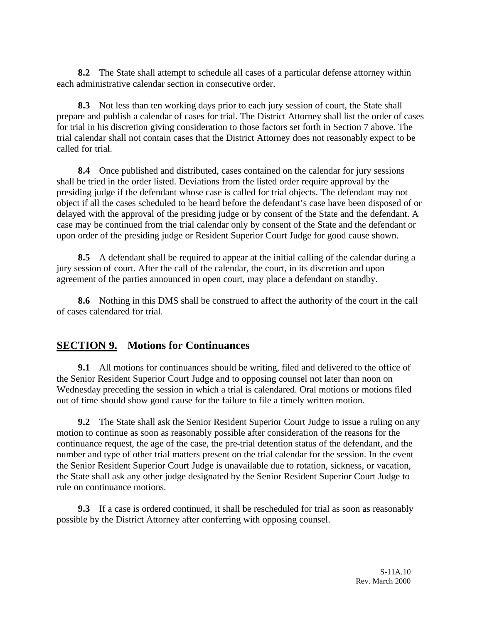**8.2** The State shall attempt to schedule all cases of a particular defense attorney within each administrative calendar section in consecutive order.

**8.3** Not less than ten working days prior to each jury session of court, the State shall prepare and publish a calendar of cases for trial. The District Attorney shall list the order of cases for trial in his discretion giving consideration to those factors set forth in Section 7 above. The trial calendar shall not contain cases that the District Attorney does not reasonably expect to be called for trial.

**8.4** Once published and distributed, cases contained on the calendar for jury sessions shall be tried in the order listed. Deviations from the listed order require approval by the presiding judge if the defendant whose case is called for trial objects. The defendant may not object if all the cases scheduled to be heard before the defendant's case have been disposed of or delayed with the approval of the presiding judge or by consent of the State and the defendant. A case may be continued from the trial calendar only by consent of the State and the defendant or upon order of the presiding judge or Resident Superior Court Judge for good cause shown.

**8.5** A defendant shall be required to appear at the initial calling of the calendar during a jury session of court. After the call of the calendar, the court, in its discretion and upon agreement of the parties announced in open court, may place a defendant on standby.

**8.6** Nothing in this DMS shall be construed to affect the authority of the court in the call of cases calendared for trial.

## **SECTION 9. Motions for Continuances**

**9.1** All motions for continuances should be writing, filed and delivered to the office of the Senior Resident Superior Court Judge and to opposing counsel not later than noon on Wednesday preceding the session in which a trial is calendared. Oral motions or motions filed out of time should show good cause for the failure to file a timely written motion.

**9.2** The State shall ask the Senior Resident Superior Court Judge to issue a ruling on any motion to continue as soon as reasonably possible after consideration of the reasons for the continuance request, the age of the case, the pre-trial detention status of the defendant, and the number and type of other trial matters present on the trial calendar for the session. In the event the Senior Resident Superior Court Judge is unavailable due to rotation, sickness, or vacation, the State shall ask any other judge designated by the Senior Resident Superior Court Judge to rule on continuance motions.

**9.3** If a case is ordered continued, it shall be rescheduled for trial as soon as reasonably possible by the District Attorney after conferring with opposing counsel.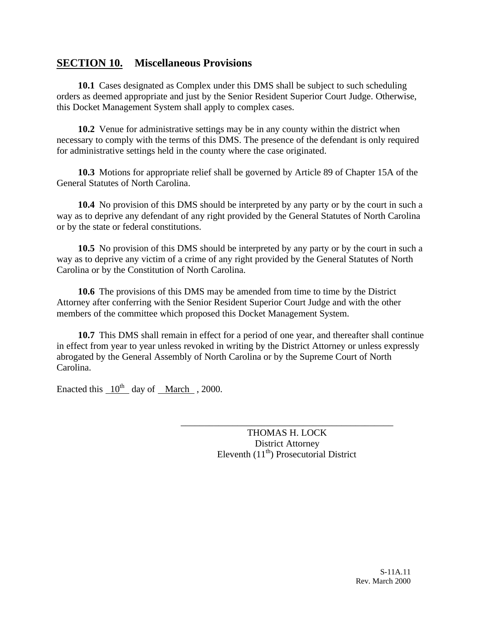#### **SECTION 10. Miscellaneous Provisions**

**10.1** Cases designated as Complex under this DMS shall be subject to such scheduling orders as deemed appropriate and just by the Senior Resident Superior Court Judge. Otherwise, this Docket Management System shall apply to complex cases.

**10.2** Venue for administrative settings may be in any county within the district when necessary to comply with the terms of this DMS. The presence of the defendant is only required for administrative settings held in the county where the case originated.

**10.3** Motions for appropriate relief shall be governed by Article 89 of Chapter 15A of the General Statutes of North Carolina.

**10.4** No provision of this DMS should be interpreted by any party or by the court in such a way as to deprive any defendant of any right provided by the General Statutes of North Carolina or by the state or federal constitutions.

**10.5** No provision of this DMS should be interpreted by any party or by the court in such a way as to deprive any victim of a crime of any right provided by the General Statutes of North Carolina or by the Constitution of North Carolina.

**10.6** The provisions of this DMS may be amended from time to time by the District Attorney after conferring with the Senior Resident Superior Court Judge and with the other members of the committee which proposed this Docket Management System.

**10.7** This DMS shall remain in effect for a period of one year, and thereafter shall continue in effect from year to year unless revoked in writing by the District Attorney or unless expressly abrogated by the General Assembly of North Carolina or by the Supreme Court of North Carolina.

Enacted this  $10^{th}$  day of March , 2000.

THOMAS H. LOCK District Attorney Eleventh  $(11<sup>th</sup>)$  Prosecutorial District

\_\_\_\_\_\_\_\_\_\_\_\_\_\_\_\_\_\_\_\_\_\_\_\_\_\_\_\_\_\_\_\_\_\_\_\_\_\_\_\_\_\_\_\_\_